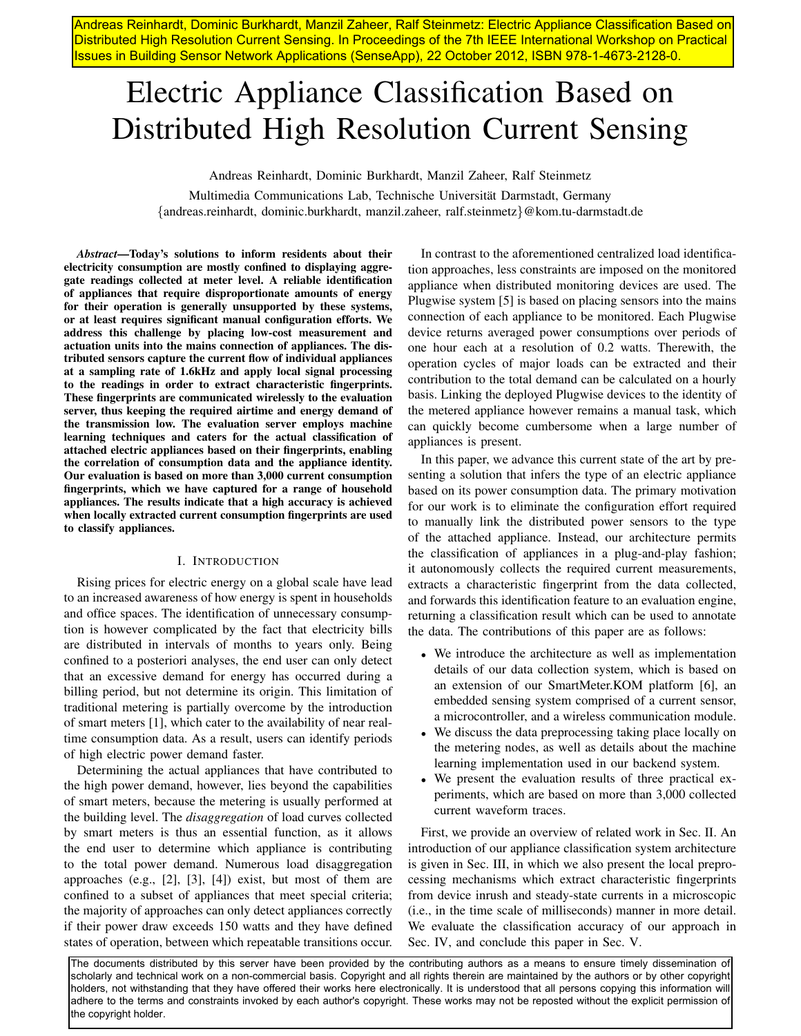Andreas Reinhardt, Dominic Burkhardt, Manzil Zaheer, Ralf Steinmetz: Electric Appliance Classification Based on Distributed High Resolution Current Sensing. In Proceedings of the 7th IEEE International Workshop on Practical Issues in Building Sensor Network Applications (SenseApp), 22 October 2012, ISBN 978-1-4673-2128-0.

# Electric Appliance Classification Based on Distributed High Resolution Current Sensing

Andreas Reinhardt, Dominic Burkhardt, Manzil Zaheer, Ralf Steinmetz

Multimedia Communications Lab, Technische Universitat Darmstadt, Germany ¨ *{*andreas.reinhardt, dominic.burkhardt, manzil.zaheer, ralf.steinmetz*}*@kom.tu-darmstadt.de

*Abstract*—Today's solutions to inform residents about their electricity consumption are mostly confined to displaying aggregate readings collected at meter level. A reliable identification of appliances that require disproportionate amounts of energy for their operation is generally unsupported by these systems, or at least requires significant manual configuration efforts. We address this challenge by placing low-cost measurement and actuation units into the mains connection of appliances. The distributed sensors capture the current flow of individual appliances at a sampling rate of 1.6kHz and apply local signal processing to the readings in order to extract characteristic fingerprints. These fingerprints are communicated wirelessly to the evaluation server, thus keeping the required airtime and energy demand of the transmission low. The evaluation server employs machine learning techniques and caters for the actual classification of attached electric appliances based on their fingerprints, enabling the correlation of consumption data and the appliance identity. Our evaluation is based on more than 3,000 current consumption fingerprints, which we have captured for a range of household appliances. The results indicate that a high accuracy is achieved when locally extracted current consumption fingerprints are used to classify appliances.

## I. INTRODUCTION

Rising prices for electric energy on a global scale have lead to an increased awareness of how energy is spent in households and office spaces. The identification of unnecessary consumption is however complicated by the fact that electricity bills are distributed in intervals of months to years only. Being confined to a posteriori analyses, the end user can only detect that an excessive demand for energy has occurred during a billing period, but not determine its origin. This limitation of traditional metering is partially overcome by the introduction of smart meters [1], which cater to the availability of near realtime consumption data. As a result, users can identify periods of high electric power demand faster.

Determining the actual appliances that have contributed to the high power demand, however, lies beyond the capabilities of smart meters, because the metering is usually performed at the building level. The *disaggregation* of load curves collected by smart meters is thus an essential function, as it allows the end user to determine which appliance is contributing to the total power demand. Numerous load disaggregation approaches (e.g., [2], [3], [4]) exist, but most of them are confined to a subset of appliances that meet special criteria; the majority of approaches can only detect appliances correctly if their power draw exceeds 150 watts and they have defined states of operation, between which repeatable transitions occur.

In contrast to the aforementioned centralized load identification approaches, less constraints are imposed on the monitored appliance when distributed monitoring devices are used. The Plugwise system [5] is based on placing sensors into the mains connection of each appliance to be monitored. Each Plugwise device returns averaged power consumptions over periods of one hour each at a resolution of 0.2 watts. Therewith, the operation cycles of major loads can be extracted and their contribution to the total demand can be calculated on a hourly basis. Linking the deployed Plugwise devices to the identity of the metered appliance however remains a manual task, which can quickly become cumbersome when a large number of appliances is present.

In this paper, we advance this current state of the art by presenting a solution that infers the type of an electric appliance based on its power consumption data. The primary motivation for our work is to eliminate the configuration effort required to manually link the distributed power sensors to the type of the attached appliance. Instead, our architecture permits the classification of appliances in a plug-and-play fashion; it autonomously collects the required current measurements, extracts a characteristic fingerprint from the data collected, and forwards this identification feature to an evaluation engine, returning a classification result which can be used to annotate the data. The contributions of this paper are as follows:

- *•* We introduce the architecture as well as implementation details of our data collection system, which is based on an extension of our SmartMeter.KOM platform [6], an embedded sensing system comprised of a current sensor, a microcontroller, and a wireless communication module.
- We discuss the data preprocessing taking place locally on the metering nodes, as well as details about the machine learning implementation used in our backend system.
- We present the evaluation results of three practical experiments, which are based on more than 3,000 collected current waveform traces.

First, we provide an overview of related work in Sec. II. An introduction of our appliance classification system architecture is given in Sec. III, in which we also present the local preprocessing mechanisms which extract characteristic fingerprints from device inrush and steady-state currents in a microscopic (i.e., in the time scale of milliseconds) manner in more detail. We evaluate the classification accuracy of our approach in Sec. IV, and conclude this paper in Sec. V.

The documents distributed by this server have been provided by the contributing authors as a means to ensure timely dissemination of scholarly and technical work on a non-commercial basis. Copyright and all rights therein are maintained by the authors or by other copyright holders, not withstanding that they have offered their works here electronically. It is understood that all persons copying this information will adhere to the terms and constraints invoked by each author's copyright. These works may not be reposted without the explicit permission of the copyright holder.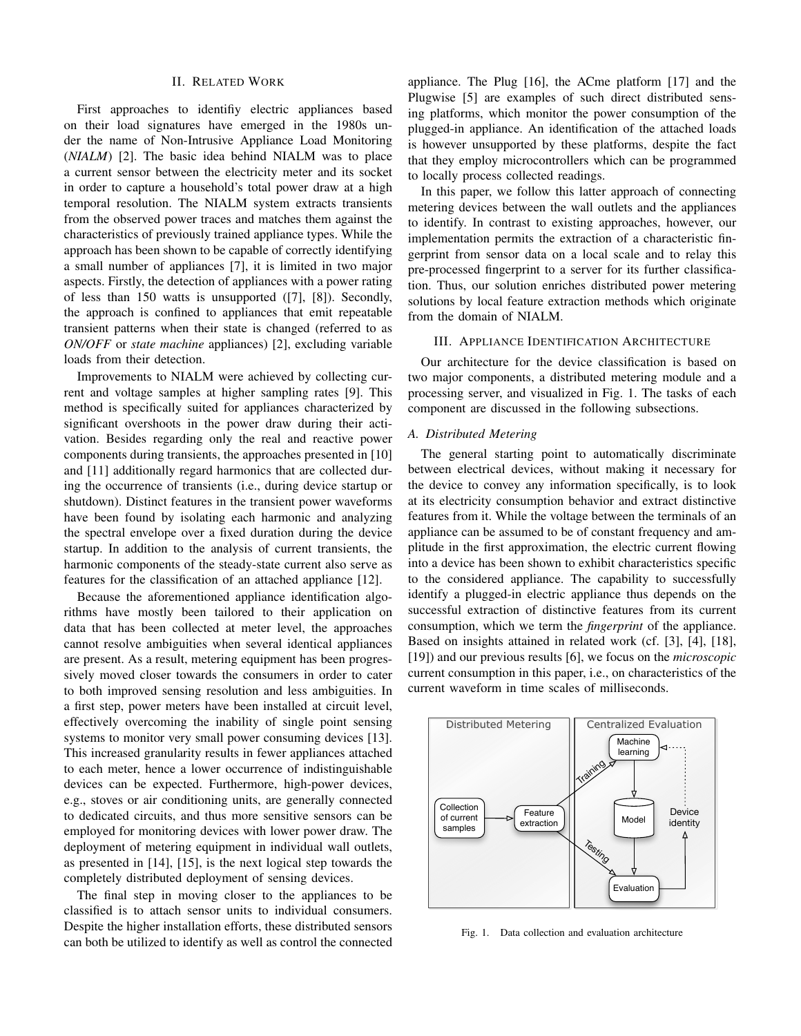#### II. RELATED WORK

First approaches to identifiy electric appliances based on their load signatures have emerged in the 1980s under the name of Non-Intrusive Appliance Load Monitoring (*NIALM*) [2]. The basic idea behind NIALM was to place a current sensor between the electricity meter and its socket in order to capture a household's total power draw at a high temporal resolution. The NIALM system extracts transients from the observed power traces and matches them against the characteristics of previously trained appliance types. While the approach has been shown to be capable of correctly identifying a small number of appliances [7], it is limited in two major aspects. Firstly, the detection of appliances with a power rating of less than 150 watts is unsupported ([7], [8]). Secondly, the approach is confined to appliances that emit repeatable transient patterns when their state is changed (referred to as *ON/OFF* or *state machine* appliances) [2], excluding variable loads from their detection.

Improvements to NIALM were achieved by collecting current and voltage samples at higher sampling rates [9]. This method is specifically suited for appliances characterized by significant overshoots in the power draw during their activation. Besides regarding only the real and reactive power components during transients, the approaches presented in [10] and [11] additionally regard harmonics that are collected during the occurrence of transients (i.e., during device startup or shutdown). Distinct features in the transient power waveforms have been found by isolating each harmonic and analyzing the spectral envelope over a fixed duration during the device startup. In addition to the analysis of current transients, the harmonic components of the steady-state current also serve as features for the classification of an attached appliance [12].

Because the aforementioned appliance identification algorithms have mostly been tailored to their application on data that has been collected at meter level, the approaches cannot resolve ambiguities when several identical appliances are present. As a result, metering equipment has been progressively moved closer towards the consumers in order to cater to both improved sensing resolution and less ambiguities. In a first step, power meters have been installed at circuit level, effectively overcoming the inability of single point sensing systems to monitor very small power consuming devices [13]. This increased granularity results in fewer appliances attached to each meter, hence a lower occurrence of indistinguishable devices can be expected. Furthermore, high-power devices, e.g., stoves or air conditioning units, are generally connected to dedicated circuits, and thus more sensitive sensors can be employed for monitoring devices with lower power draw. The deployment of metering equipment in individual wall outlets, as presented in [14], [15], is the next logical step towards the completely distributed deployment of sensing devices.

The final step in moving closer to the appliances to be classified is to attach sensor units to individual consumers. Despite the higher installation efforts, these distributed sensors can both be utilized to identify as well as control the connected

appliance. The Plug [16], the ACme platform [17] and the Plugwise [5] are examples of such direct distributed sensing platforms, which monitor the power consumption of the plugged-in appliance. An identification of the attached loads is however unsupported by these platforms, despite the fact that they employ microcontrollers which can be programmed to locally process collected readings.

In this paper, we follow this latter approach of connecting metering devices between the wall outlets and the appliances to identify. In contrast to existing approaches, however, our implementation permits the extraction of a characteristic fingerprint from sensor data on a local scale and to relay this pre-processed fingerprint to a server for its further classification. Thus, our solution enriches distributed power metering solutions by local feature extraction methods which originate from the domain of NIALM.

### III. APPLIANCE IDENTIFICATION ARCHITECTURE

Our architecture for the device classification is based on two major components, a distributed metering module and a processing server, and visualized in Fig. 1. The tasks of each component are discussed in the following subsections.

## *A. Distributed Metering*

The general starting point to automatically discriminate between electrical devices, without making it necessary for the device to convey any information specifically, is to look at its electricity consumption behavior and extract distinctive features from it. While the voltage between the terminals of an appliance can be assumed to be of constant frequency and amplitude in the first approximation, the electric current flowing into a device has been shown to exhibit characteristics specific to the considered appliance. The capability to successfully identify a plugged-in electric appliance thus depends on the successful extraction of distinctive features from its current consumption, which we term the *fingerprint* of the appliance. Based on insights attained in related work (cf. [3], [4], [18], [19]) and our previous results [6], we focus on the *microscopic* current consumption in this paper, i.e., on characteristics of the current waveform in time scales of milliseconds.



Fig. 1. Data collection and evaluation architecture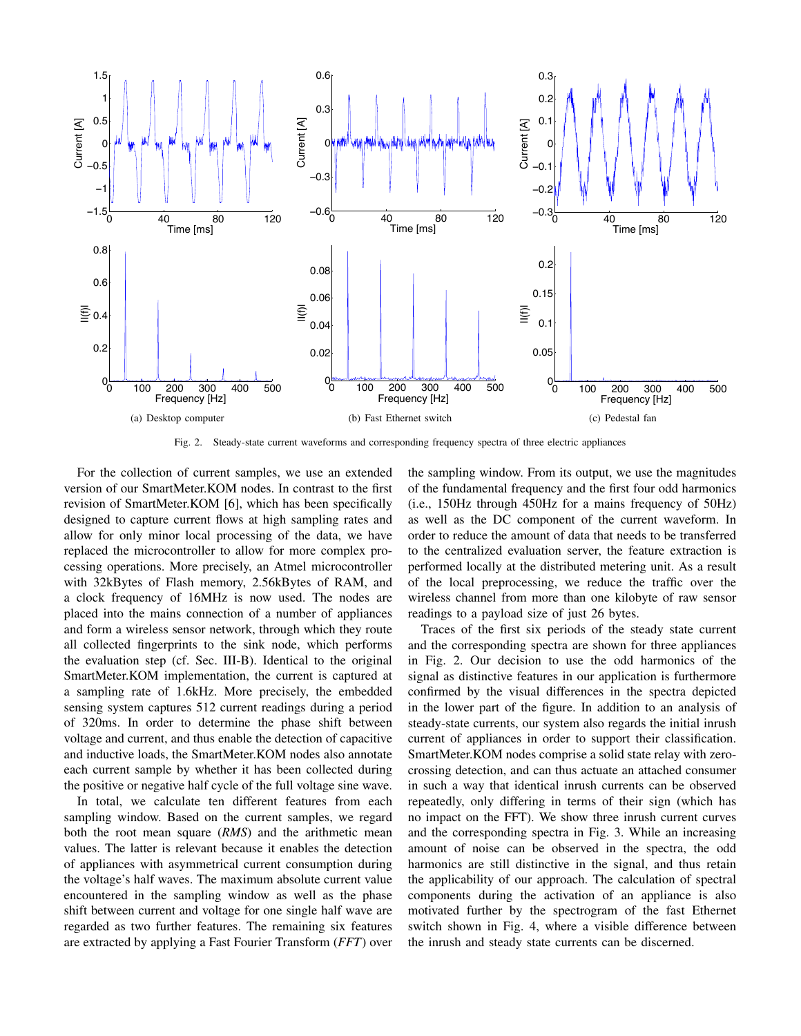

Fig. 2. Steady-state current waveforms and corresponding frequency spectra of three electric appliances

For the collection of current samples, we use an extended version of our SmartMeter.KOM nodes. In contrast to the first revision of SmartMeter.KOM [6], which has been specifically designed to capture current flows at high sampling rates and allow for only minor local processing of the data, we have replaced the microcontroller to allow for more complex processing operations. More precisely, an Atmel microcontroller with 32kBytes of Flash memory, 2.56kBytes of RAM, and a clock frequency of 16MHz is now used. The nodes are placed into the mains connection of a number of appliances and form a wireless sensor network, through which they route all collected fingerprints to the sink node, which performs the evaluation step (cf. Sec. III-B). Identical to the original SmartMeter.KOM implementation, the current is captured at a sampling rate of 1.6kHz. More precisely, the embedded sensing system captures 512 current readings during a period of 320ms. In order to determine the phase shift between voltage and current, and thus enable the detection of capacitive and inductive loads, the SmartMeter.KOM nodes also annotate each current sample by whether it has been collected during the positive or negative half cycle of the full voltage sine wave.

In total, we calculate ten different features from each sampling window. Based on the current samples, we regard both the root mean square (*RMS*) and the arithmetic mean values. The latter is relevant because it enables the detection of appliances with asymmetrical current consumption during the voltage's half waves. The maximum absolute current value encountered in the sampling window as well as the phase shift between current and voltage for one single half wave are regarded as two further features. The remaining six features are extracted by applying a Fast Fourier Transform (*FFT*) over

the sampling window. From its output, we use the magnitudes of the fundamental frequency and the first four odd harmonics (i.e., 150Hz through 450Hz for a mains frequency of 50Hz) as well as the DC component of the current waveform. In order to reduce the amount of data that needs to be transferred to the centralized evaluation server, the feature extraction is performed locally at the distributed metering unit. As a result of the local preprocessing, we reduce the traffic over the wireless channel from more than one kilobyte of raw sensor readings to a payload size of just 26 bytes.

Traces of the first six periods of the steady state current and the corresponding spectra are shown for three appliances in Fig. 2. Our decision to use the odd harmonics of the signal as distinctive features in our application is furthermore confirmed by the visual differences in the spectra depicted in the lower part of the figure. In addition to an analysis of steady-state currents, our system also regards the initial inrush current of appliances in order to support their classification. SmartMeter.KOM nodes comprise a solid state relay with zerocrossing detection, and can thus actuate an attached consumer in such a way that identical inrush currents can be observed repeatedly, only differing in terms of their sign (which has no impact on the FFT). We show three inrush current curves and the corresponding spectra in Fig. 3. While an increasing amount of noise can be observed in the spectra, the odd harmonics are still distinctive in the signal, and thus retain the applicability of our approach. The calculation of spectral components during the activation of an appliance is also motivated further by the spectrogram of the fast Ethernet switch shown in Fig. 4, where a visible difference between the inrush and steady state currents can be discerned.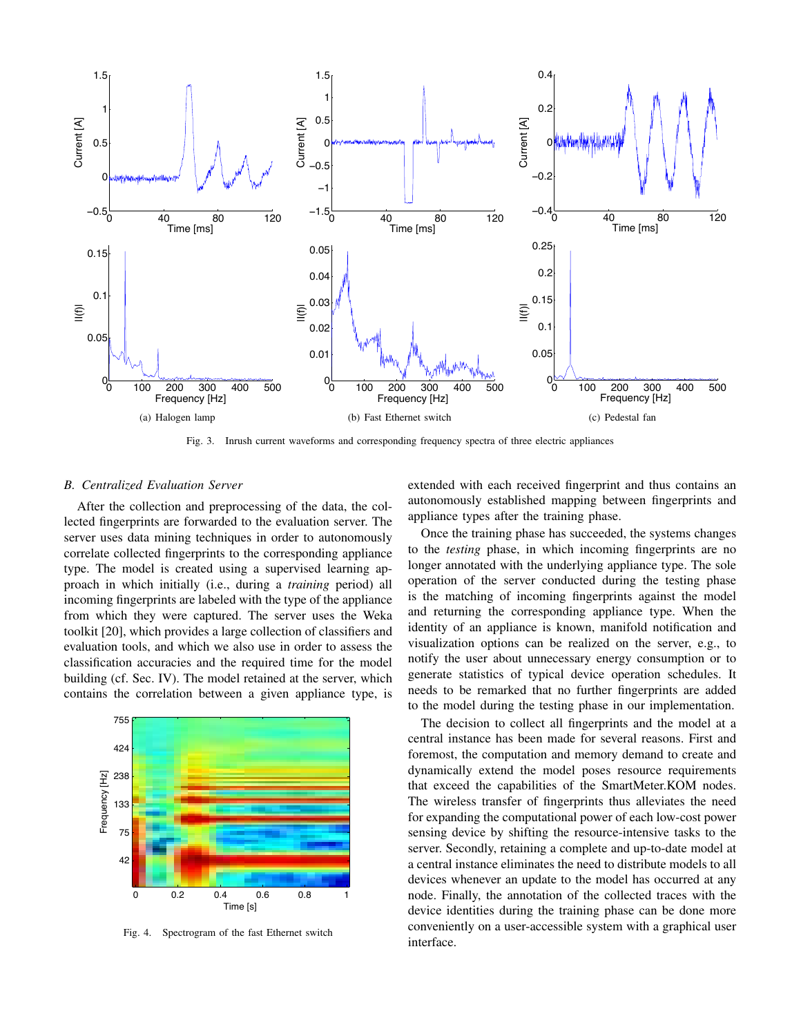

Fig. 3. Inrush current waveforms and corresponding frequency spectra of three electric appliances

## *B. Centralized Evaluation Server*

After the collection and preprocessing of the data, the collected fingerprints are forwarded to the evaluation server. The server uses data mining techniques in order to autonomously correlate collected fingerprints to the corresponding appliance type. The model is created using a supervised learning approach in which initially (i.e., during a *training* period) all incoming fingerprints are labeled with the type of the appliance from which they were captured. The server uses the Weka toolkit [20], which provides a large collection of classifiers and evaluation tools, and which we also use in order to assess the classification accuracies and the required time for the model building (cf. Sec. IV). The model retained at the server, which contains the correlation between a given appliance type, is



Fig. 4. Spectrogram of the fast Ethernet switch

extended with each received fingerprint and thus contains an autonomously established mapping between fingerprints and appliance types after the training phase.

Once the training phase has succeeded, the systems changes to the *testing* phase, in which incoming fingerprints are no longer annotated with the underlying appliance type. The sole operation of the server conducted during the testing phase is the matching of incoming fingerprints against the model and returning the corresponding appliance type. When the identity of an appliance is known, manifold notification and visualization options can be realized on the server, e.g., to notify the user about unnecessary energy consumption or to generate statistics of typical device operation schedules. It needs to be remarked that no further fingerprints are added to the model during the testing phase in our implementation.

The decision to collect all fingerprints and the model at a central instance has been made for several reasons. First and foremost, the computation and memory demand to create and dynamically extend the model poses resource requirements that exceed the capabilities of the SmartMeter.KOM nodes. The wireless transfer of fingerprints thus alleviates the need for expanding the computational power of each low-cost power sensing device by shifting the resource-intensive tasks to the server. Secondly, retaining a complete and up-to-date model at a central instance eliminates the need to distribute models to all devices whenever an update to the model has occurred at any node. Finally, the annotation of the collected traces with the device identities during the training phase can be done more conveniently on a user-accessible system with a graphical user interface.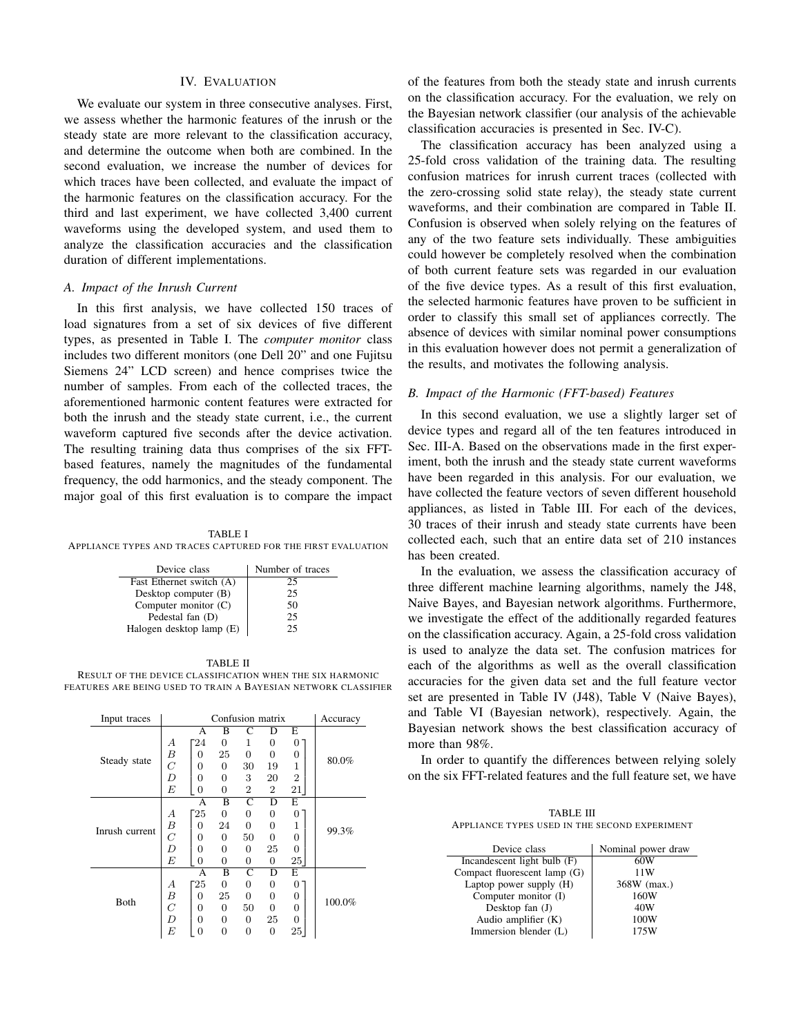#### IV. EVALUATION

We evaluate our system in three consecutive analyses. First, we assess whether the harmonic features of the inrush or the steady state are more relevant to the classification accuracy, and determine the outcome when both are combined. In the second evaluation, we increase the number of devices for which traces have been collected, and evaluate the impact of the harmonic features on the classification accuracy. For the third and last experiment, we have collected 3,400 current waveforms using the developed system, and used them to analyze the classification accuracies and the classification duration of different implementations.

## *A. Impact of the Inrush Current*

In this first analysis, we have collected 150 traces of load signatures from a set of six devices of five different types, as presented in Table I. The *computer monitor* class includes two different monitors (one Dell 20" and one Fujitsu Siemens 24" LCD screen) and hence comprises twice the number of samples. From each of the collected traces, the aforementioned harmonic content features were extracted for both the inrush and the steady state current, i.e., the current waveform captured five seconds after the device activation. The resulting training data thus comprises of the six FFTbased features, namely the magnitudes of the fundamental frequency, the odd harmonics, and the steady component. The major goal of this first evaluation is to compare the impact

TABLE I APPLIANCE TYPES AND TRACES CAPTURED FOR THE FIRST EVALUATION

| Device class             | Number of traces |
|--------------------------|------------------|
| Fast Ethernet switch (A) | 25               |
| Desktop computer (B)     | 25               |
| Computer monitor $(C)$   | 50               |
| Pedestal fan (D)         | 25               |
| Halogen desktop lamp (E) | 25               |

TABLE II

RESULT OF THE DEVICE CLASSIFICATION WHEN THE SIX HARMONIC FEATURES ARE BEING USED TO TRAIN A BAYESIAN NETWORK CLASSIFIER

| Input traces   |                  |     |    | Confusion matrix |    |                | Accuracy |
|----------------|------------------|-----|----|------------------|----|----------------|----------|
|                |                  | А   | B  | $\subset$        | D  | E              |          |
|                | А                | `24 | 0  | 1                | 0  | 0              |          |
| Steady state   | $\boldsymbol{B}$ | 0   | 25 | 0                | 0  | 0              | 80.0%    |
|                | $\boldsymbol{C}$ | 0   | 0  | 30               | 19 | 1              |          |
|                | D                | 0   | 0  | 3                | 20 | $\overline{2}$ |          |
|                | E                | 0   | 0  | $\overline{2}$   | 2  | 21             |          |
|                |                  | А   | B  | C                | D  | E              |          |
|                | А                | 25  | 0  | 0                | 0  | 0              | 99.3%    |
| Inrush current | B                | 0   | 24 | $\Omega$         | 0  | 1              |          |
|                | $\overline{C}$   | 0   | 0  | 50               | 0  | 0              |          |
|                | D                | 0   | 0  | 0                | 25 | 0              |          |
|                | E                | 0   | 0  | 0                | 0  | 25             |          |
|                |                  | А   | B  | $\mathsf{C}$     | D  | E              |          |
| Both           | А                | 25  | 0  | 0                | 0  | 0              |          |
|                | В                | 0   | 25 | $\Omega$         | 0  | 0              | 100.0%   |
|                | Ċ                | 0   | 0  | 50               | 0  | $\Omega$       |          |
|                | D                | 0   | 0  | 0                | 25 | 0              |          |
|                | E                | 0   | 0  | 0                | 0  | 25             |          |

of the features from both the steady state and inrush currents on the classification accuracy. For the evaluation, we rely on the Bayesian network classifier (our analysis of the achievable classification accuracies is presented in Sec. IV-C).

The classification accuracy has been analyzed using a 25-fold cross validation of the training data. The resulting confusion matrices for inrush current traces (collected with the zero-crossing solid state relay), the steady state current waveforms, and their combination are compared in Table II. Confusion is observed when solely relying on the features of any of the two feature sets individually. These ambiguities could however be completely resolved when the combination of both current feature sets was regarded in our evaluation of the five device types. As a result of this first evaluation, the selected harmonic features have proven to be sufficient in order to classify this small set of appliances correctly. The absence of devices with similar nominal power consumptions in this evaluation however does not permit a generalization of the results, and motivates the following analysis.

### *B. Impact of the Harmonic (FFT-based) Features*

In this second evaluation, we use a slightly larger set of device types and regard all of the ten features introduced in Sec. III-A. Based on the observations made in the first experiment, both the inrush and the steady state current waveforms have been regarded in this analysis. For our evaluation, we have collected the feature vectors of seven different household appliances, as listed in Table III. For each of the devices, 30 traces of their inrush and steady state currents have been collected each, such that an entire data set of 210 instances has been created.

In the evaluation, we assess the classification accuracy of three different machine learning algorithms, namely the J48, Naive Bayes, and Bayesian network algorithms. Furthermore, we investigate the effect of the additionally regarded features on the classification accuracy. Again, a 25-fold cross validation is used to analyze the data set. The confusion matrices for each of the algorithms as well as the overall classification accuracies for the given data set and the full feature vector set are presented in Table IV (J48), Table V (Naive Bayes), and Table VI (Bayesian network), respectively. Again, the Bayesian network shows the best classification accuracy of more than 98%.

In order to quantify the differences between relying solely on the six FFT-related features and the full feature set, we have

TABLE III APPLIANCE TYPES USED IN THE SECOND EXPERIMENT

| Device class                 | Nominal power draw |
|------------------------------|--------------------|
| Incandescent light bulb (F)  | 60W                |
| Compact fluorescent lamp (G) | 11W                |
| Laptop power supply (H)      | 368W (max.)        |
| Computer monitor (I)         | 160W               |
| Desktop fan $(J)$            | 40W                |
| Audio amplifier $(K)$        | 100W               |
| Immersion blender (L)        | 175W               |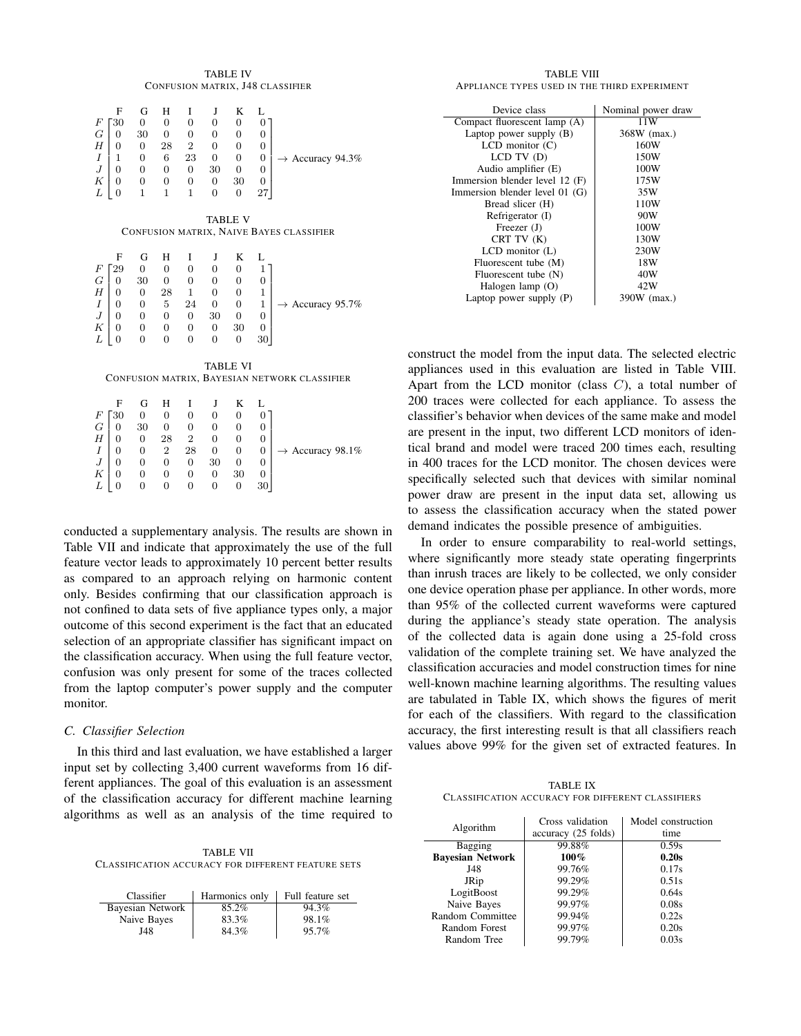|                                                                          |                                                                                                                         |                                                                                                                             |                                                                                                                         |                                                                                                                         |                                                                                                                           |                                                                                                                             |                                                                                                              | CONFUSION MATRIX, J48 CLASSIFIER              |
|--------------------------------------------------------------------------|-------------------------------------------------------------------------------------------------------------------------|-----------------------------------------------------------------------------------------------------------------------------|-------------------------------------------------------------------------------------------------------------------------|-------------------------------------------------------------------------------------------------------------------------|---------------------------------------------------------------------------------------------------------------------------|-----------------------------------------------------------------------------------------------------------------------------|--------------------------------------------------------------------------------------------------------------|-----------------------------------------------|
| $\,F$<br>G<br>H<br>$\boldsymbol{I}$<br>$\boldsymbol{J}$<br>K<br>L        | F<br>30<br>$\boldsymbol{0}$<br>$\boldsymbol{0}$<br>$\mathbf{1}$<br>$\boldsymbol{0}$<br>$\boldsymbol{0}$<br>$\mathbf{0}$ | G<br>$\overline{0}$<br>30<br>$\boldsymbol{0}$<br>$\boldsymbol{0}$<br>$\boldsymbol{0}$<br>$\boldsymbol{0}$<br>1              | Н<br>$\overline{0}$<br>$\boldsymbol{0}$<br>28<br>6<br>$\mathbf{0}$<br>$\boldsymbol{0}$<br>$\mathbf{1}$                  | I<br>$\boldsymbol{0}$<br>$\boldsymbol{0}$<br>$\overline{2}$<br>23<br>$\mathbf{0}$<br>$\overline{0}$<br>$\mathbf{1}$     | J<br>$\boldsymbol{0}$<br>$\boldsymbol{0}$<br>$\overline{0}$<br>$\overline{0}$<br>30<br>$\mathbf{0}$<br>$\boldsymbol{0}$   | K<br>0<br>$\overline{0}$<br>$\overline{0}$<br>$\overline{0}$<br>$\overline{0}$<br>30<br>$\boldsymbol{0}$                    | L<br>$\overline{0}$<br>0<br>$\boldsymbol{0}$<br>$\overline{0}$<br>$\boldsymbol{0}$<br>$\boldsymbol{0}$<br>27 | $\rightarrow$ Accuracy 94.3%                  |
|                                                                          |                                                                                                                         |                                                                                                                             |                                                                                                                         |                                                                                                                         |                                                                                                                           | <b>TABLE V</b>                                                                                                              |                                                                                                              |                                               |
|                                                                          |                                                                                                                         |                                                                                                                             |                                                                                                                         |                                                                                                                         |                                                                                                                           |                                                                                                                             |                                                                                                              | CONFUSION MATRIX, NAIVE BAYES CLASSIFIER      |
| $\,F$<br>$\cal G$<br>H<br>$\boldsymbol{I}$<br>$\boldsymbol{J}$<br>K<br>L | F<br>29<br>$\theta$<br>$\overline{0}$<br>$\mathbf{0}$<br>$\boldsymbol{0}$<br>$\overline{0}$<br>$\overline{0}$           | G<br>$\overline{0}$<br>30<br>$\boldsymbol{0}$<br>$\boldsymbol{0}$<br>$\boldsymbol{0}$<br>$\boldsymbol{0}$<br>$\overline{0}$ | Н<br>$\boldsymbol{0}$<br>$\overline{0}$<br>28<br>$\overline{5}$<br>$\boldsymbol{0}$<br>$\overline{0}$<br>$\overline{0}$ | I<br>$\overline{0}$<br>$\boldsymbol{0}$<br>$\mathbf{1}$<br>24<br>$\boldsymbol{0}$<br>$\boldsymbol{0}$<br>$\overline{0}$ | J<br>$\overline{0}$<br>$\overline{0}$<br>$\boldsymbol{0}$<br>$\boldsymbol{0}$<br>30<br>$\boldsymbol{0}$<br>$\overline{0}$ | K<br>$\boldsymbol{0}$<br>$\overline{0}$<br>$\overline{0}$<br>$\boldsymbol{0}$<br>$\boldsymbol{0}$<br>30<br>$\boldsymbol{0}$ | L<br>1<br>0<br>$\mathbf{1}$<br>$\mathbf{1}$<br>0<br>0<br>30                                                  | $\rightarrow$ Accuracy 95.7%                  |
|                                                                          |                                                                                                                         |                                                                                                                             |                                                                                                                         |                                                                                                                         |                                                                                                                           | <b>TABLE VI</b>                                                                                                             |                                                                                                              |                                               |
|                                                                          |                                                                                                                         |                                                                                                                             |                                                                                                                         |                                                                                                                         |                                                                                                                           |                                                                                                                             |                                                                                                              | CONFUSION MATRIX, BAYESIAN NETWORK CLASSIFIER |
| $\,F$                                                                    | F<br>30                                                                                                                 | G<br>$\boldsymbol{0}$                                                                                                       | Н<br>$\boldsymbol{0}$                                                                                                   | I<br>$\boldsymbol{0}$                                                                                                   | J<br>0                                                                                                                    | K<br>0                                                                                                                      | L<br>$_{0}$ -                                                                                                |                                               |
| G                                                                        | $\boldsymbol{0}$                                                                                                        | 30                                                                                                                          | $\boldsymbol{0}$                                                                                                        | $\boldsymbol{0}$                                                                                                        | $\overline{0}$                                                                                                            | 0                                                                                                                           | 0                                                                                                            |                                               |
| H<br>I                                                                   | $\boldsymbol{0}$<br>$\overline{0}$                                                                                      | $\boldsymbol{0}$                                                                                                            | 28<br>$\overline{2}$                                                                                                    | $\overline{2}$<br>28                                                                                                    | $\boldsymbol{0}$<br>$\overline{0}$                                                                                        | 0<br>$\overline{0}$                                                                                                         | $\boldsymbol{0}$                                                                                             |                                               |
| $\boldsymbol{J}$                                                         | $\overline{0}$                                                                                                          | $\boldsymbol{0}$<br>$\boldsymbol{0}$                                                                                        | $\boldsymbol{0}$                                                                                                        | $\boldsymbol{0}$                                                                                                        | 30                                                                                                                        | $\overline{0}$                                                                                                              | 0<br>$\overline{0}$                                                                                          | $\rightarrow$ Accuracy 98.1%                  |
| K                                                                        | $\mathbf{0}$                                                                                                            | $\overline{0}$                                                                                                              | $\boldsymbol{0}$                                                                                                        | $\mathbf{0}$                                                                                                            | $\boldsymbol{0}$                                                                                                          | 30                                                                                                                          | $\boldsymbol{0}$                                                                                             |                                               |
| L                                                                        | $\overline{0}$                                                                                                          | $\overline{0}$                                                                                                              | $\overline{0}$                                                                                                          | $\overline{0}$                                                                                                          | $\boldsymbol{0}$                                                                                                          | $\overline{0}$                                                                                                              | 30                                                                                                           |                                               |

TABLE IV

conducted a supplementary analysis. The results are shown in Table VII and indicate that approximately the use of the full feature vector leads to approximately 10 percent better results as compared to an approach relying on harmonic content only. Besides confirming that our classification approach is not confined to data sets of five appliance types only, a major outcome of this second experiment is the fact that an educated selection of an appropriate classifier has significant impact on the classification accuracy. When using the full feature vector, confusion was only present for some of the traces collected from the laptop computer's power supply and the computer monitor.

## *C. Classifier Selection*

In this third and last evaluation, we have established a larger input set by collecting 3,400 current waveforms from 16 different appliances. The goal of this evaluation is an assessment of the classification accuracy for different machine learning algorithms as well as an analysis of the time required to

TABLE VII CLASSIFICATION ACCURACY FOR DIFFERENT FEATURE SETS

| Classifier       | Harmonics only | Full feature set |
|------------------|----------------|------------------|
| Bayesian Network | 85.2%          | 94.3%            |
| Naive Bayes      | 83.3%          | 98.1%            |
| J48              | 84.3%          | $95.7\%$         |

TABLE VIII APPLIANCE TYPES USED IN THE THIRD EXPERIMENT

| Device class                   | Nominal power draw |
|--------------------------------|--------------------|
| Compact fluorescent lamp (A)   | 11W                |
| Laptop power supply $(B)$      | 368W (max.)        |
| $LCD$ monitor $(C)$            | 160W               |
| LCD TV (D)                     | 150W               |
| Audio amplifier (E)            | 100W               |
| Immersion blender level 12 (F) | 175W               |
| Immersion blender level 01 (G) | 35W                |
| Bread slicer (H)               | 110W               |
| Refrigerator (I)               | 90W                |
| Freezer $(J)$                  | 100W               |
| CRT TV (K)                     | 130W               |
| $LCD$ monitor $(L)$            | 230W               |
| Fluorescent tube (M)           | 18W                |
| Fluorescent tube $(N)$         | 40W                |
| Halogen lamp $(O)$             | 42W                |
| Laptop power supply (P)        | 390W (max.)        |

construct the model from the input data. The selected electric appliances used in this evaluation are listed in Table VIII. Apart from the LCD monitor (class *C*), a total number of 200 traces were collected for each appliance. To assess the classifier's behavior when devices of the same make and model are present in the input, two different LCD monitors of identical brand and model were traced 200 times each, resulting in 400 traces for the LCD monitor. The chosen devices were specifically selected such that devices with similar nominal power draw are present in the input data set, allowing us to assess the classification accuracy when the stated power demand indicates the possible presence of ambiguities.

In order to ensure comparability to real-world settings, where significantly more steady state operating fingerprints than inrush traces are likely to be collected, we only consider one device operation phase per appliance. In other words, more than 95% of the collected current waveforms were captured during the appliance's steady state operation. The analysis of the collected data is again done using a 25-fold cross validation of the complete training set. We have analyzed the classification accuracies and model construction times for nine well-known machine learning algorithms. The resulting values are tabulated in Table IX, which shows the figures of merit for each of the classifiers. With regard to the classification accuracy, the first interesting result is that all classifiers reach values above 99% for the given set of extracted features. In

TABLE IX CLASSIFICATION ACCURACY FOR DIFFERENT CLASSIFIERS

| Algorithm               | Cross validation<br>accuracy (25 folds) | Model construction<br>time |
|-------------------------|-----------------------------------------|----------------------------|
| Bagging                 | 99.88%                                  | 0.59s                      |
| <b>Bayesian Network</b> | $100\%$                                 | 0.20s                      |
| J48                     | 99.76%                                  | 0.17s                      |
| <b>JRip</b>             | 99.29%                                  | 0.51s                      |
| LogitBoost              | 99.29%                                  | 0.64s                      |
| Naive Bayes             | 99.97%                                  | 0.08s                      |
| Random Committee        | 99.94%                                  | 0.22s                      |
| Random Forest           | 99.97%                                  | 0.20s                      |
| Random Tree             | 99.79%                                  | 0.03s                      |